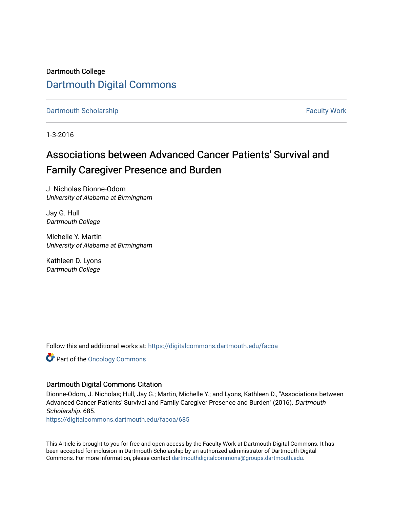Dartmouth College [Dartmouth Digital Commons](https://digitalcommons.dartmouth.edu/) 

[Dartmouth Scholarship](https://digitalcommons.dartmouth.edu/facoa) Faculty Work

1-3-2016

## Associations between Advanced Cancer Patients' Survival and Family Caregiver Presence and Burden

J. Nicholas Dionne-Odom University of Alabama at Birmingham

Jay G. Hull Dartmouth College

Michelle Y. Martin University of Alabama at Birmingham

Kathleen D. Lyons Dartmouth College

Follow this and additional works at: [https://digitalcommons.dartmouth.edu/facoa](https://digitalcommons.dartmouth.edu/facoa?utm_source=digitalcommons.dartmouth.edu%2Ffacoa%2F685&utm_medium=PDF&utm_campaign=PDFCoverPages)

Part of the [Oncology Commons](http://network.bepress.com/hgg/discipline/694?utm_source=digitalcommons.dartmouth.edu%2Ffacoa%2F685&utm_medium=PDF&utm_campaign=PDFCoverPages) 

## Dartmouth Digital Commons Citation

Dionne-Odom, J. Nicholas; Hull, Jay G.; Martin, Michelle Y.; and Lyons, Kathleen D., "Associations between Advanced Cancer Patients' Survival and Family Caregiver Presence and Burden" (2016). Dartmouth Scholarship. 685.

[https://digitalcommons.dartmouth.edu/facoa/685](https://digitalcommons.dartmouth.edu/facoa/685?utm_source=digitalcommons.dartmouth.edu%2Ffacoa%2F685&utm_medium=PDF&utm_campaign=PDFCoverPages)

This Article is brought to you for free and open access by the Faculty Work at Dartmouth Digital Commons. It has been accepted for inclusion in Dartmouth Scholarship by an authorized administrator of Dartmouth Digital Commons. For more information, please contact [dartmouthdigitalcommons@groups.dartmouth.edu](mailto:dartmouthdigitalcommons@groups.dartmouth.edu).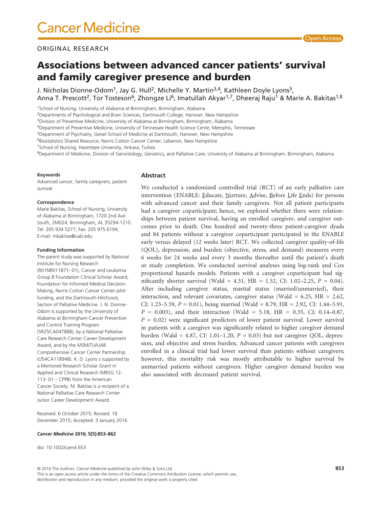# **Cancer Medicine**

#### ORIGINAL RESEARCH

## Associations between advanced cancer patients' survival and family caregiver presence and burden

J. Nicholas Dionne-Odom<sup>1</sup>, Jay G. Hull<sup>2</sup>, Michelle Y. Martin<sup>3,4</sup>, Kathleen Doyle Lyons<sup>5</sup>, Anna T. Prescott<sup>2</sup>, Tor Tosteson<sup>6</sup>, Zhongze Li<sup>6</sup>, Imatullah Akyar<sup>1,7</sup>, Dheeraj Raju<sup>1</sup> & Marie A. Bakitas<sup>1,8</sup>

1School of Nursing, University of Alabama at Birmingham, Birmingham, Alabama

2Departments of Psychological and Brain Sciences, Dartmouth College, Hanover, New Hampshire

3Division of Preventive Medicine, University of Alabama at Birmingham, Birmingham, Alabama

4Department of Preventive Medicine, University of Tennessee Health Science Cente, Memphis, Tennessee

5Department of Psychiatry, Geisel School of Medicine at Dartmouth, Hanover, New Hampshire

6Biostatistics Shared Resource, Norris Cotton Cancer Center, Lebanon, New Hampshire

7School of Nursing, Hacettepe University, Ankara, Turkey

8Department of Medicine, Division of Gerontology, Geriatrics, and Palliative Care, University of Alabama at Birmingham, Birmingham, Alabama

#### **Keywords**

Advanced cancer, family caregivers, patient survival

#### **Correspondence**

Marie Bakitas, School of Nursing, University of Alabama at Birmingham, 1720 2nd Ave South, 2M024, Birmingham, AL 35294-1210. Tel: 205 934 5277; Fax: 205 975 6194; E-mail: [mbakitas@uab.edu](mailto:mbakitas@uab.edu)

#### **Funding Information**

The parent study was supported by National Institute for Nursing Research (R01NR011871- 01), Cancer and Leukemia Group B Foundation Clinical Scholar Award, Foundation for Informed Medical Decision-Making, Norris Cotton Cancer Center pilot funding, and the Dartmouth-Hitchcock, Section of Palliative Medicine. J. N. Dionne-Odom is supported by the University of Alabama at Birmingham Cancer Prevention and Control Training Program (5R25CA047888), by a National Palliative Care Research Center Career Development Award, and by the MSM/TU/UAB Comprehensive Cancer Center Partnership (U54CA118948). K. D. Lyons s supported by a Mentored Research Scholar Grant in Applied and Clinical Research (MRSG 12- 113- 01 – CPPB) from the American Cancer Society. M. Bakitas is a recipient of a National Palliative Care Research Center Junior Career Development Award.

Received: 6 October 2015; Revised: 18 December 2015; Accepted: 3 January 2016

#### *Cancer Medicine* **2016; 5(5):853–862**

doi: 10.1002/cam4.653

#### **Abstract**

We conducted a randomized controlled trial (RCT) of an early palliative care intervention (ENABLE: Educate, Nurture, Advise, Before Life Ends) for persons with advanced cancer and their family caregivers. Not all patient participants had a caregiver coparticipant; hence, we explored whether there were relationships between patient survival, having an enrolled caregiver, and caregiver outcomes prior to death. One hundred and twenty-three patient-caregiver dyads and 84 patients without a caregiver coparticipant participated in the ENABLE early versus delayed (12 weeks later) RCT. We collected caregiver quality-of-life (QOL), depression, and burden (objective, stress, and demand) measures every 6 weeks for 24 weeks and every 3 months thereafter until the patient's death or study completion. We conducted survival analyses using log-rank and Cox proportional hazards models. Patients with a caregiver coparticipant had significantly shorter survival (Wald = 4.31, HR = 1.52, CI: 1.02–2.25,  $P = 0.04$ ). After including caregiver status, marital status (married/unmarried), their interaction, and relevant covariates, caregiver status (Wald =  $6.25$ , HR =  $2.62$ , CI: 1.23–5.59, *P* = 0.01), being married (Wald = 8.79, HR = 2.92, CI: 1.44–5.91, *P* = 0.003), and their interaction (Wald = 5.18, HR = 0.35, CI: 0.14–0.87,  $P = 0.02$ ) were significant predictors of lower patient survival. Lower survival in patients with a caregiver was significantly related to higher caregiver demand burden (Wald = 4.87, CI: 1.01–1.20, *P* = 0.03) but not caregiver QOL, depression, and objective and stress burden. Advanced cancer patients with caregivers enrolled in a clinical trial had lower survival than patients without caregivers; however, this mortality risk was mostly attributable to higher survival by unmarried patients without caregivers. Higher caregiver demand burden was also associated with decreased patient survival.

© 2016 The Authors. *Cancer Medicine* published by John Wiley & Sons Ltd. This is an open access article under the terms of the Creative Commons Attribution License, which permits use, distribution and reproduction in any medium, provided the original work is properly cited.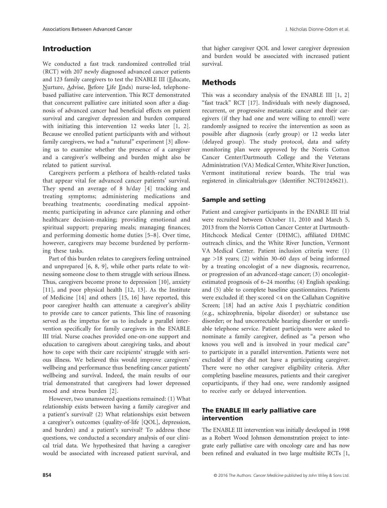## Introduction

We conducted a fast track randomized controlled trial (RCT) with 207 newly diagnosed advanced cancer patients and 123 family caregivers to test the ENABLE III (Educate, Nurture, Advise, Before Life Ends) nurse-led, telephonebased palliative care intervention. This RCT demonstrated that concurrent palliative care initiated soon after a diagnosis of advanced cancer had beneficial effects on patient survival and caregiver depression and burden compared with initiating this intervention 12 weeks later [1, 2]. Because we enrolled patient participants with and without family caregivers, we had a "natural" experiment [3] allowing us to examine whether the presence of a caregiver and a caregiver's wellbeing and burden might also be related to patient survival.

Caregivers perform a plethora of health-related tasks that appear vital for advanced cancer patients' survival. They spend an average of 8 h/day [4] tracking and treating symptoms; administering medications and breathing treatments; coordinating medical appointments; participating in advance care planning and other healthcare decision-making; providing emotional and spiritual support; preparing meals; managing finances; and performing domestic home duties [5–8]. Over time, however, caregivers may become burdened by performing these tasks.

Part of this burden relates to caregivers feeling untrained and unprepared [6, 8, 9], while other parts relate to witnessing someone close to them struggle with serious illness. Thus, caregivers become prone to depression [10], anxiety [11], and poor physical health [12, 13]. As the Institute of Medicine [14] and others [15, 16] have reported, this poor caregiver health can attenuate a caregiver's ability to provide care to cancer patients. This line of reasoning served as the impetus for us to include a parallel intervention specifically for family caregivers in the ENABLE III trial. Nurse coaches provided one-on-one support and education to caregivers about caregiving tasks, and about how to cope with their care recipients' struggle with serious illness. We believed this would improve caregivers' wellbeing and performance thus benefiting cancer patients' wellbeing and survival. Indeed, the main results of our trial demonstrated that caregivers had lower depressed mood and stress burden [2].

However, two unanswered questions remained: (1) What relationship exists between having a family caregiver and a patient's survival? (2) What relationships exist between a caregiver's outcomes (quality-of-life [QOL], depression, and burden) and a patient's survival? To address these questions, we conducted a secondary analysis of our clinical trial data. We hypothesized that having a caregiver would be associated with increased patient survival, and that higher caregiver QOL and lower caregiver depression and burden would be associated with increased patient survival.

## Methods

This was a secondary analysis of the ENABLE III [1, 2] "fast track" RCT [17]. Individuals with newly diagnosed, recurrent, or progressive metastatic cancer and their caregivers (if they had one and were willing to enroll) were randomly assigned to receive the intervention as soon as possible after diagnosis (early group) or 12 weeks later (delayed group). The study protocol, data and safety monitoring plan were approved by the Norris Cotton Cancer Center/Dartmouth College and the Veterans Administration (VA) Medical Center, White River Junction, Vermont institutional review boards. The trial was registered in clinicaltrials.gov (Identifier NCT01245621).

### Sample and setting

Patient and caregiver participants in the ENABLE III trial were recruited between October 11, 2010 and March 5, 2013 from the Norris Cotton Cancer Center at Dartmouth-Hitchcock Medical Center (DHMC), affiliated DHMC outreach clinics, and the White River Junction, Vermont VA Medical Center. Patient inclusion criteria were: (1) age  $>18$  years; (2) within 30–60 days of being informed by a treating oncologist of a new diagnosis, recurrence, or progression of an advanced-stage cancer; (3) oncologistestimated prognosis of 6–24 months; (4) English speaking; and (5) able to complete baseline questionnaires. Patients were excluded if: they scored <4 on the Callahan Cognitive Screen; [18] had an active Axis I psychiatric condition (e.g., schizophrenia, bipolar disorder) or substance use disorder; or had uncorrectable hearing disorder or unreliable telephone service. Patient participants were asked to nominate a family caregiver, defined as "a person who knows you well and is involved in your medical care" to participate in a parallel intervention. Patients were not excluded if they did not have a participating caregiver. There were no other caregiver eligibility criteria. After completing baseline measures, patients and their caregiver coparticipants, if they had one, were randomly assigned to receive early or delayed intervention.

## The ENABLE III early palliative care intervention

The ENABLE III intervention was initially developed in 1998 as a Robert Wood Johnson demonstration project to integrate early palliative care with oncology care and has now been refined and evaluated in two large multisite RCTs [1,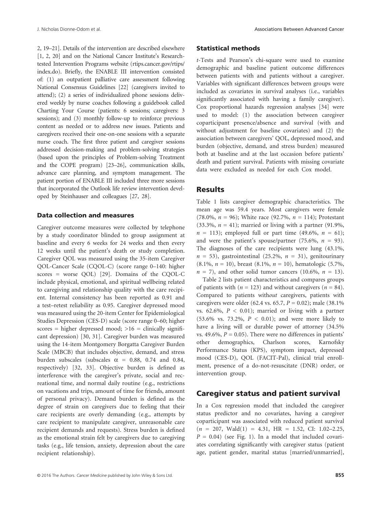2, 19–21]. Details of the intervention are described elsewhere [1, 2, 20] and on the National Cancer Institute's Researchtested Intervention Programs website (rtips.cancer.gov/rtips/ index.do). Briefly, the ENABLE III intervention consisted of: (1) an outpatient palliative care assessment following National Consensus Guidelines [22] (caregivers invited to attend); (2) a series of individualized phone sessions delivered weekly by nurse coaches following a guidebook called Charting Your Course (patients: 6 sessions; caregivers: 3 sessions); and (3) monthly follow-up to reinforce previous content as needed or to address new issues. Patients and caregivers received their one-on-one sessions with a separate nurse coach. The first three patient and caregiver sessions addressed decision-making and problem-solving strategies (based upon the principles of Problem-solving Treatment and the COPE program) [23–26], communication skills, advance care planning, and symptom management. The patient portion of ENABLE III included three more sessions that incorporated the Outlook life review intervention developed by Steinhauser and colleagues [27, 28].

#### Data collection and measures

Caregiver outcome measures were collected by telephone by a study coordinator blinded to group assignment at baseline and every 6 weeks for 24 weeks and then every 12 weeks until the patient's death or study completion. Caregiver QOL was measured using the 35-item Caregiver QOL-Cancer Scale (CQOL-C) (score range 0–140: higher scores = worse QOL) [29]. Domains of the CQOL-C include physical, emotional, and spiritual wellbeing related to caregiving and relationship quality with the care recipient. Internal consistency has been reported as 0.91 and a test–retest reliability as 0.95. Caregiver depressed mood was measured using the 20-item Center for Epidemiological Studies Depression (CES-D) scale (score range 0–60; higher scores = higher depressed mood;  $>16$  = clinically significant depression) [30, 31]. Caregiver burden was measured using the 14-item Montgomery Borgatta Caregiver Burden Scale (MBCB) that includes objective, demand, and stress burden subscales (subscales  $\alpha = 0.88, 0.74$  and 0.84, respectively) [32, 33]. Objective burden is defined as interference with the caregiver's private, social and recreational time, and normal daily routine (e.g., restrictions on vacations and trips, amount of time for friends, amount of personal privacy). Demand burden is defined as the degree of strain on caregivers due to feeling that their care recipients are overly demanding (e.g., attempts by care recipient to manipulate caregiver, unreasonable care recipient demands and requests). Stress burden is defined as the emotional strain felt by caregivers due to caregiving tasks (e.g., life tension, anxiety, depression about the care recipient relationship).

#### Statistical methods

*t*-Tests and Pearson's chi-square were used to examine demographic and baseline patient outcome differences between patients with and patients without a caregiver. Variables with significant differences between groups were included as covariates in survival analyses (i.e., variables significantly associated with having a family caregiver). Cox proportional hazards regression analyses [34] were used to model: (1) the association between caregiver coparticipant presence/absence and survival (with and without adjustment for baseline covariates) and (2) the association between caregivers' QOL, depressed mood, and burden (objective, demand, and stress burden) measured both at baseline and at the last occasion before patients' death and patient survival. Patients with missing covariate data were excluded as needed for each Cox model.

#### **Results**

Table 1 lists caregiver demographic characteristics. The mean age was 59.4 years. Most caregivers were female (78.0%, *n* = 96); White race (92.7%, *n* = 114); Protestant  $(33.3\%, n = 41)$ ; married or living with a partner  $(91.9\%,$  $n = 113$ ; employed full or part time (49.6%,  $n = 61$ ); and were the patient's spouse/partner  $(75.6\%, n = 93)$ . The diagnoses of the care recipients were lung (43.1%,  $n = 53$ ), gastrointestinal (25.2%,  $n = 31$ ), genitourinary (8.1%, *n* = 10), breast (8.1%, *n* = 10), hematologic (5.7%,  $n = 7$ , and other solid tumor cancers (10.6%,  $n = 13$ ).

Table 2 lists patient characteristics and compares groups of patients with  $(n = 123)$  and without caregivers  $(n = 84)$ . Compared to patients with*out* caregivers, patients with caregivers were older (62.4 vs. 65.7, *P* = 0.02); male (38.1% vs.  $62.6\%$ ,  $P < 0.01$ ; married or living with a partner (53.6% vs. 73.2%, *P* < 0.01); and were more likely to have a living will or durable power of attorney (34.5% vs. 49.6%,  $P = 0.05$ ). There were no differences in patients' other demographics, Charlson scores, Karnofsky Performance Status (KPS), symptom impact, depressed mood (CES-D), QOL (FACIT-Pal), clinical trial enrollment, presence of a do-not-resuscitate (DNR) order, or intervention group.

### Caregiver status and patient survival

In a Cox regression model that included the caregiver status predictor and no covariates, having a caregiver coparticipant was associated with reduced patient survival  $(n = 207, Wald(1) = 4.31, HR = 1.52, CI: 1.02-2.25,$  $P = 0.04$ ) (see Fig. 1). In a model that included covariates correlating significantly with caregiver status (patient age, patient gender, marital status [married/unmarried],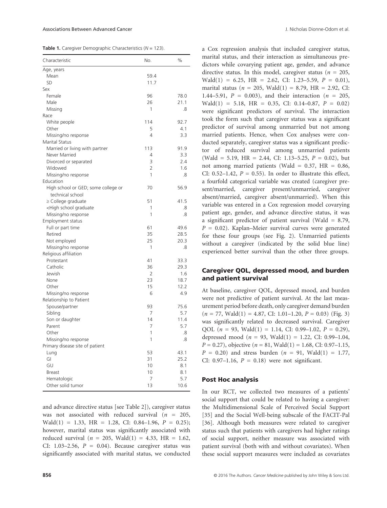|  |  |  | Table 1. Caregiver Demographic Characteristics ( $N = 123$ ). |  |
|--|--|--|---------------------------------------------------------------|--|
|--|--|--|---------------------------------------------------------------|--|

| Characteristic                                                  | No.            | $\frac{0}{0}$ |
|-----------------------------------------------------------------|----------------|---------------|
| Age, years                                                      |                |               |
| Mean                                                            | 59.4           |               |
| <b>SD</b>                                                       | 11.7           |               |
| Sex                                                             |                |               |
| Female                                                          | 96             | 78.0          |
| Male                                                            | 26             | 21.1          |
| Missing                                                         | 1              | .8            |
| Race                                                            |                |               |
| White people                                                    | 114            | 92.7          |
| Other                                                           | 5              | 4.1           |
| Missing/no response                                             | 4              | 3.3           |
| Marital Status                                                  |                |               |
| Married or living with partner                                  | 113            | 91.9          |
| Never Married                                                   | 4              | 3.3           |
| Divorced or separated                                           | 3              | 2.4           |
| Widowed                                                         | $\overline{2}$ | 1.6           |
| Missing/no response                                             | 1              | .8            |
| Education                                                       |                |               |
| High school or GED; some college or                             | 70             | 56.9          |
| technical school                                                |                |               |
| $\geq$ College graduate                                         | 51             | 41.5          |
| <high graduate<="" school="" td=""><td>1</td><td>.8</td></high> | 1              | .8            |
| Missing/no response                                             | 1              | .8            |
| Employment status                                               |                |               |
| Full or part time                                               | 61             | 49.6          |
| Retired                                                         | 35             | 28.5          |
| Not employed                                                    | 25             | 20.3          |
| Missing/no response                                             | 1              | .8            |
| Religious affiliation                                           |                |               |
| Protestant                                                      | 41             | 33.3          |
| Catholic                                                        | 36             | 29.3          |
| Jewish                                                          | 2              | 1.6           |
| None                                                            | 23             | 18.7          |
| Other                                                           | 15             | 12.2          |
| Missing/no response                                             | 6              | 4.9           |
| Relationship to Patient                                         |                |               |
| Spouse/partner                                                  | 93             | 75.6          |
| Sibling                                                         | 7              | 5.7           |
| Son or daughter                                                 | 14             | 11.4          |
| Parent                                                          | 7              | 5.7           |
| Other                                                           | 1              | .8            |
| Missing/no response                                             | 1              | .8            |
| Primary disease site of patient                                 |                |               |
| Lung                                                            | 53             | 43.1          |
| GI                                                              | 31             | 25.2          |
| GU                                                              | 10             | 8.1           |
| <b>Breast</b>                                                   | 10             | 8.1           |
| Hematologic                                                     | 7              | 5.7           |
| Other solid tumor                                               | 13             | 10.6          |

and advance directive status [see Table 2]), caregiver status was not associated with reduced survival (*n* = 205, Wald(1) = 1.33, HR = 1.28, CI: 0.84–1.96, *P* = 0.25); however, marital status was significantly associated with reduced survival ( $n = 205$ , Wald(1) = 4.33, HR = 1.62, CI:  $1.03-2.56$ ,  $P = 0.04$ ). Because caregiver status was significantly associated with marital status, we conducted

a Cox regression analysis that included caregiver status, marital status, and their interaction as simultaneous predictors while covarying patient age, gender, and advance directive status. In this model, caregiver status ( $n = 205$ ,  $Wald(1) = 6.25$ ,  $HR = 2.62$ ,  $CI: 1.23-5.59$ ,  $P = 0.01$ ), marital status ( $n = 205$ , Wald(1) = 8.79, HR = 2.92, CI: 1.44–5.91, *P* = 0.003), and their interaction (*n* = 205, Wald(1) = 5.18, HR = 0.35, CI: 0.14–0.87, *P* = 0.02) were significant predictors of survival. The interaction took the form such that caregiver status was a significant predictor of survival among unmarried but not among married patients. Hence, when Cox analyses were conducted separately, caregiver status was a significant predictor of reduced survival among unmarried patients (Wald = 5.19, HR = 2.44, CI: 1.13–5.25, *P* = 0.02), but not among married patients (Wald =  $0.37$ , HR =  $0.86$ , CI: 0.52–1.42,  $P = 0.55$ ). In order to illustrate this effect, a fourfold categorical variable was created (caregiver present/married, caregiver present/unmarried, caregiver absent/married, caregiver absent/unmarried). When this variable was entered in a Cox regression model covarying patient age, gender, and advance directive status, it was a significant predictor of patient survival (Wald = 8.79, *P* = 0.02). Kaplan–Meier survival curves were generated for these four groups (see Fig. 2). Unmarried patients without a caregiver (indicated by the solid blue line) experienced better survival than the other three groups.

#### Caregiver QOL, depressed mood, and burden and patient survival

At baseline, caregiver QOL, depressed mood, and burden were not predictive of patient survival. At the last measurement period before death, only caregiver demand burden  $(n = 77, Wald(1) = 4.87, CI: 1.01–1.20, P = 0.03)$  (Fig. 3) was significantly related to decreased survival. Caregiver QOL (*n* = 93, Wald(1) = 1.14, CI: 0.99–1.02, *P* = 0.29), depressed mood ( $n = 93$ , Wald(1) = 1.22, CI: 0.99–1.04, *P* = 0.27), objective (*n* = 81, Wald(1) = 1.68, CI: 0.97–1.15,  $P = 0.20$ ) and stress burden ( $n = 91$ , Wald(1) = 1.77, CI:  $0.97-1.16$ ,  $P = 0.18$ ) were not significant.

#### Post Hoc analysis

In our RCT, we collected two measures of a patients' social support that could be related to having a caregiver: the Multidimensional Scale of Perceived Social Support [35] and the Social Well-being subscale of the FACIT-Pal [36]. Although both measures were related to caregiver status such that patients with caregivers had higher ratings of social support, neither measure was associated with patient survival (both with and without covariates). When these social support measures were included as covariates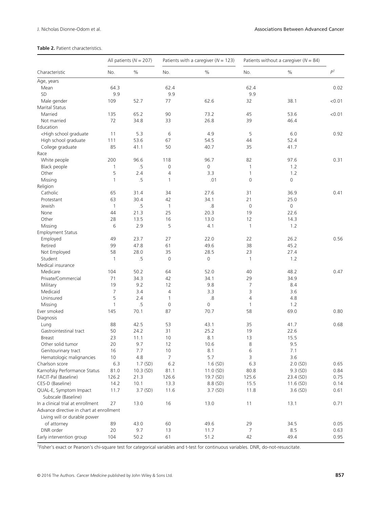#### **Table 2.** Patient characteristics.

|                                                                                                                            | All patients ( $N = 207$ ) |             | Patients with a caregiver ( $N = 123$ ) |                     | Patients without a caregiver ( $N = 84$ ) |                     |                |
|----------------------------------------------------------------------------------------------------------------------------|----------------------------|-------------|-----------------------------------------|---------------------|-------------------------------------------|---------------------|----------------|
| Characteristic                                                                                                             | No.                        | $\%$        | No.                                     | $\%$                | No.                                       | $\%$                | P <sup>1</sup> |
| Age, years                                                                                                                 |                            |             |                                         |                     |                                           |                     |                |
| Mean                                                                                                                       | 64.3                       |             | 62.4                                    |                     | 62.4                                      |                     | 0.02           |
| SD                                                                                                                         | 9.9                        |             | 9.9                                     |                     | 9.9                                       |                     |                |
| Male gender                                                                                                                | 109                        | 52.7        | 77                                      | 62.6                | 32                                        | 38.1                | < 0.01         |
| <b>Marital Status</b>                                                                                                      |                            |             |                                         |                     |                                           |                     |                |
| Married                                                                                                                    | 135                        | 65.2        | 90                                      | 73.2                | 45                                        | 53.6                | < 0.01         |
| Not married                                                                                                                | 72                         | 34.8        | 33                                      | 26.8                | 39                                        | 46.4                |                |
| Education                                                                                                                  |                            |             |                                         |                     |                                           |                     |                |
| <high graduate<="" school="" td=""><td>11</td><td>5.3</td><td>6</td><td>4.9</td><td>5</td><td>6.0</td><td>0.92</td></high> | 11                         | 5.3         | 6                                       | 4.9                 | 5                                         | 6.0                 | 0.92           |
| High school graduate                                                                                                       | 111                        | 53.6        | 67                                      | 54.5                | 44                                        | 52.4                |                |
| College graduate                                                                                                           | 85                         | 41.1        | 50                                      | 40.7                | 35                                        | 41.7                |                |
| Race                                                                                                                       |                            |             |                                         |                     |                                           |                     |                |
| White people                                                                                                               | 200                        | 96.6        | 118                                     | 96.7                | 82                                        | 97.6                | 0.31           |
| Black people                                                                                                               | 1                          | .5          | $\mathsf{O}\xspace$                     | 0                   | $\mathbf{1}$                              | 1.2                 |                |
| Other                                                                                                                      | 5                          | 2.4         | 4                                       | 3.3                 | $\mathbf{1}$                              | 1.2                 |                |
| Missing                                                                                                                    | $\mathbf{1}$               | .5          | 1                                       | .01                 | $\mathsf 0$                               | $\mathsf{O}\xspace$ |                |
| Religion                                                                                                                   |                            |             |                                         |                     |                                           |                     |                |
| Catholic                                                                                                                   | 65                         | 31.4        | 34                                      | 27.6                | 31                                        | 36.9                | 0.41           |
| Protestant                                                                                                                 | 63                         | 30.4        | 42                                      | 34.1                | 21                                        | 25.0                |                |
| Jewish                                                                                                                     | $\mathbf{1}$               | $.5\,$      | $\mathbf{1}$                            | .8                  | $\mathbf 0$                               | $\overline{0}$      |                |
| None                                                                                                                       | 44                         | 21.3        | 25                                      | 20.3                | 19                                        | 22.6                |                |
| Other                                                                                                                      | 28                         | 13.5        | 16                                      | 13.0                | 12                                        | 14.3                |                |
| Missing                                                                                                                    | 6                          | 2.9         | 5                                       | 4.1                 | $\mathbf{1}$                              | 1.2                 |                |
| <b>Employment Status</b>                                                                                                   |                            |             |                                         |                     |                                           |                     |                |
| Employed                                                                                                                   | 49                         | 23.7        | 27                                      | 22.0                | 22                                        | 26.2                | 0.56           |
| Retired                                                                                                                    | 99                         | 47.8        | 61                                      | 49.6                | 38                                        | 45.2                |                |
| Not Employed                                                                                                               | 58                         | 28.0        | 35                                      | 28.5                | 23                                        | 27.4                |                |
| Student                                                                                                                    | 1                          | .5          | $\mathbf 0$                             | $\mathsf{O}\xspace$ | $\mathbf{1}$                              | 1.2                 |                |
| Medical insurance                                                                                                          |                            |             |                                         |                     |                                           |                     |                |
| Medicare                                                                                                                   | 104                        | 50.2        | 64                                      | 52.0                | 40                                        | 48.2                | 0.47           |
| Private/Commercial                                                                                                         | 71                         | 34.3        | 42                                      | 34.1                | 29                                        | 34.9                |                |
| Military                                                                                                                   | 19                         | 9.2         | 12                                      | 9.8                 | 7                                         | 8.4                 |                |
| Medicaid                                                                                                                   | $\overline{7}$             | 3.4         | 4                                       | 3.3                 | 3                                         | 3.6                 |                |
| Uninsured                                                                                                                  | 5                          | 2.4         | $\mathbf{1}$                            | .8                  | $\overline{4}$                            | 4.8                 |                |
| Missing                                                                                                                    | $\mathbf{1}$               | .5          | $\mathsf{O}\xspace$                     | 0                   | $\mathbf{1}$                              | 1.2                 |                |
| Ever smoked                                                                                                                | 145                        | 70.1        | 87                                      | 70.7                | 58                                        | 69.0                | 0.80           |
| Diagnosis                                                                                                                  |                            |             |                                         |                     |                                           |                     |                |
|                                                                                                                            | 88                         | 42.5        | 53                                      | 43.1                | 35                                        | 41.7                | 0.68           |
| Lung<br>Gastrointestinal tract                                                                                             | 50                         | 24.2        | 31                                      | 25.2                | 19                                        | 22.6                |                |
| <b>Breast</b>                                                                                                              | 23                         | 11.1        | 10                                      | 8.1                 | 13                                        | 15.5                |                |
| Other solid tumor                                                                                                          | 20                         | 9.7         | 12                                      | 10.6                | 8                                         | 9.5                 |                |
|                                                                                                                            | 16                         | 7.7         |                                         |                     |                                           |                     |                |
| Genitourinary tract                                                                                                        |                            |             | $10$                                    | 8.1                 | 6                                         | 7.1                 |                |
| Hematologic malignancies                                                                                                   | $10$                       | 4.8         | 7                                       | 5.7                 | 3                                         | 3.6                 |                |
| Charlson score                                                                                                             | 6.3                        | 1.7(SD)     | 6.2                                     | 1.6(SD)             | 6.3                                       | 2.0(SD)             | 0.65           |
| Karnofsky Performance Status                                                                                               | 81.0                       | $10.3$ (SD) | 81.1                                    | 11.0(SD)            | 80.8                                      | 9.3(SD)             | 0.84           |
| FACIT-Pal (Baseline)                                                                                                       | 126.2                      | 21.3        | 126.6                                   | 19.7 (SD)           | 125.6                                     | 23.4 (SD)           | 0.75           |
| CES-D (Baseline)                                                                                                           | 14.2                       | 10.1        | 13.3                                    | 8.8 (SD)            | 15.5                                      | 11.6(SD)            | 0.14           |
| QUAL-E, Symptom Impact<br>Subscale (Baseline)                                                                              | 11.7                       | 3.7(SD)     | 11.6                                    | 3.7(SD)             | 11.8                                      | 3.6(SD)             | 0.61           |
| In a clinical trial at enrollment                                                                                          | 27                         | 13.0        | 16                                      | 13.0                | 11                                        | 13.1                | 0.71           |
| Advance directive in chart at enrollment                                                                                   |                            |             |                                         |                     |                                           |                     |                |
| Living will or durable power                                                                                               |                            |             |                                         |                     |                                           |                     |                |
| of attorney                                                                                                                | 89                         | 43.0        | 60                                      | 49.6                | 29                                        | 34.5                | 0.05           |
| DNR order                                                                                                                  | 20                         | 9.7         | 13                                      | 11.7                | 7                                         | 8.5                 | 0.63           |
| Early intervention group                                                                                                   | 104                        | 50.2        | 61                                      | 51.2                | 42                                        | 49.4                | 0.95           |

1Fisher's exact or Pearson's chi-square test for categorical variables and t-test for continuous variables. DNR, do-not-resuscitate.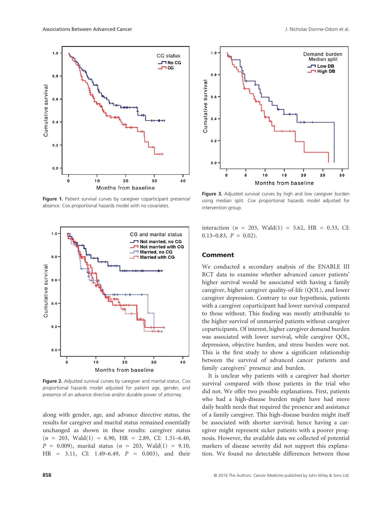

**Figure 1.** Patient survival curves by caregiver coparticipant presence/ absence. Cox proportional hazards model with no covariates.



**Figure 2.** Adjusted survival curves by caregiver and marital status. Cox proportional hazards model adjusted for patient age, gender, and presence of an advance directive and/or durable power of attorney.

along with gender, age, and advance directive status, the results for caregiver and marital status remained essentially unchanged as shown in these results: caregiver status  $(n = 203, Wald(1) = 6.90, HR = 2.89, CI: 1.31-6.40,$ *P* = 0.009), marital status (*n* = 203, Wald(1) = 9.10, HR = 3.11, CI: 1.49–6.49, *P* = 0.003), and their



**Figure 3.** Adjusted survival curves by high and low caregiver burden using median split. Cox proportional hazards model adjusted for intervention group.

interaction ( $n = 203$ , Wald(1) = 5.62, HR = 0.33, CI:  $0.13-0.83$ ,  $P = 0.02$ ).

#### Comment

We conducted a secondary analysis of the ENABLE III RCT data to examine whether advanced cancer patients' higher survival would be associated with having a family caregiver, higher caregiver quality-of-life (QOL), and lower caregiver depression. Contrary to our hypothesis, patients with a caregiver coparticipant had lower survival compared to those without. This finding was mostly attributable to the higher survival of unmarried patients without caregiver coparticipants. Of interest, higher caregiver demand burden was associated with lower survival, while caregiver QOL, depression, objective burden, and stress burden were not. This is the first study to show a significant relationship between the survival of advanced cancer patients and family caregivers' presence and burden.

It is unclear why patients with a caregiver had shorter survival compared with those patients in the trial who did not. We offer two possible explanations. First, patients who had a high-disease burden might have had more daily health needs that required the presence and assistance of a family caregiver. This high-disease burden might itself be associated with shorter survival; hence having a caregiver might represent sicker patients with a poorer prognosis. However, the available data we collected of potential markers of disease severity did not support this explanation. We found no detectable differences between those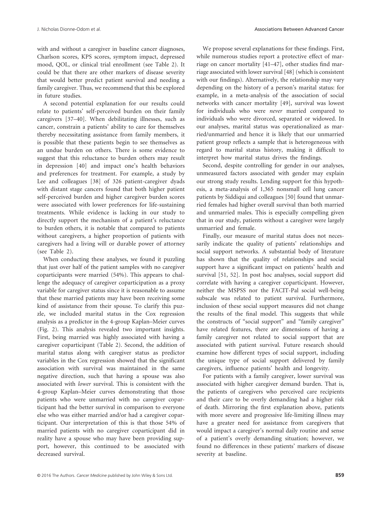with and without a caregiver in baseline cancer diagnoses, Charlson scores, KPS scores, symptom impact, depressed mood, QOL, or clinical trial enrollment (see Table 2). It could be that there are other markers of disease severity that would better predict patient survival and needing a family caregiver. Thus, we recommend that this be explored in future studies.

A second potential explanation for our results could relate to patients' self-perceived burden on their family caregivers [37–40]. When debilitating illnesses, such as cancer, constrain a patients' ability to care for themselves thereby necessitating assistance from family members, it is possible that these patients begin to see themselves as an undue burden on others. There is some evidence to suggest that this reluctance to burden others may result in depression [40] and impact one's health behaviors and preferences for treatment. For example, a study by Lee and colleagues [38] of 326 patient-caregiver dyads with distant stage cancers found that both higher patient self-perceived burden and higher caregiver burden scores were associated with lower preferences for life-sustaining treatments. While evidence is lacking in our study to directly support the mechanism of a patient's reluctance to burden others, it is notable that compared to patients without caregivers, a higher proportion of patients with caregivers had a living will or durable power of attorney (see Table 2).

When conducting these analyses, we found it puzzling that just over half of the patient samples with no caregiver coparticipants were married (54%). This appears to challenge the adequacy of caregiver coparticipation as a proxy variable for caregiver status since it is reasonable to assume that these married patients may have been receiving some kind of assistance from their spouse. To clarify this puzzle, we included marital status in the Cox regression analysis as a predictor in the 4-group Kaplan–Meier curves (Fig. 2). This analysis revealed two important insights. First, being married was highly associated with having a caregiver coparticipant (Table 2). Second, the addition of marital status along with caregiver status as predictor variables in the Cox regression showed that the significant association with survival was maintained in the same negative direction, such that having a spouse was also associated with *lower* survival. This is consistent with the 4-group Kaplan–Meier curves demonstrating that those patients who were unmarried with no caregiver coparticipant had the better survival in comparison to everyone else who was either married and/or had a caregiver coparticipant. Our interpretation of this is that those 54% of married patients with no caregiver coparticipant did in reality have a spouse who may have been providing support, however, this continued to be associated with decreased survival.

We propose several explanations for these findings. First, while numerous studies report a protective effect of marriage on cancer mortality [41–47], other studies find marriage associated with lower survival [48] (which is consistent with our findings). Alternatively, the relationship may vary depending on the history of a person's marital status: for example, in a meta-analysis of the association of social networks with cancer mortality [49], survival was lowest for individuals who were *never* married compared to individuals who were divorced, separated or widowed. In our analyses, marital status was operationalized as married/unmarried and hence it is likely that our unmarried patient group reflects a sample that is heterogeneous with regard to marital status history, making it difficult to interpret how marital status drives the findings.

Second, despite controlling for gender in our analyses, unmeasured factors associated with gender may explain our strong study results. Lending support for this hypothesis, a meta-analysis of 1,365 nonsmall cell lung cancer patients by Siddiqui and colleagues [50] found that unmarried females had higher overall survival than both married and unmarried males. This is especially compelling given that in our study, patients without a caregiver were largely unmarried and female.

Finally, our measure of marital status does not necessarily indicate the quality of patients' relationships and social support networks. A substantial body of literature has shown that the quality of relationships and social support have a significant impact on patients' health and survival [51, 52]. In post hoc analyses, social support did correlate with having a caregiver coparticipant. However, neither the MSPSS nor the FACIT-Pal social well-being subscale was related to patient survival. Furthermore, inclusion of these social support measures did not change the results of the final model. This suggests that while the constructs of "social support" and "family caregiver" have related features, there are dimensions of having a family caregiver not related to social support that are associated with patient survival. Future research should examine how different types of social support, including the unique type of social support delivered by family caregivers, influence patients' health and longevity.

For patients with a family caregiver, lower survival was associated with higher caregiver demand burden. That is, the patients of caregivers who perceived care recipients and their care to be overly demanding had a higher risk of death. Mirroring the first explanation above, patients with more severe and progressive life-limiting illness may have a greater need for assistance from caregivers that would impact a caregiver's normal daily routine and sense of a patient's overly demanding situation; however, we found no differences in these patients' markers of disease severity at baseline.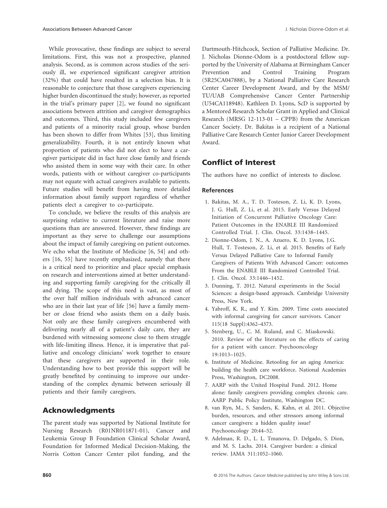While provocative, these findings are subject to several limitations. First, this was not a prospective, planned analysis. Second, as is common across studies of the seriously ill, we experienced significant caregiver attrition (32%) that could have resulted in a selection bias. It is reasonable to conjecture that those caregivers experiencing higher burden discontinued the study; however, as reported in the trial's primary paper [2], we found no significant associations between attrition and caregiver demographics and outcomes. Third, this study included few caregivers and patients of a minority racial group, whose burden has been shown to differ from Whites [53], thus limiting generalizability. Fourth, it is not entirely known what proportion of patients who did not elect to have a caregiver participate did in fact have close family and friends who assisted them in some way with their care. In other words, patients with or without caregiver co-participants may not equate with actual caregivers available to patients. Future studies will benefit from having more detailed information about family support regardless of whether patients elect a caregiver to co-participate.

To conclude, we believe the results of this analysis are surprising relative to current literature and raise more questions than are answered. However, these findings are important as they serve to challenge our assumptions about the impact of family caregiving on patient outcomes. We echo what the Institute of Medicine [6, 54] and others [16, 55] have recently emphasized, namely that there is a critical need to prioritize and place special emphasis on research and interventions aimed at better understanding and supporting family caregiving for the critically ill and dying. The scope of this need is vast, as most of the over half million individuals with advanced cancer who are in their last year of life [56] have a family member or close friend who assists them on a daily basis. Not only are these family caregivers encumbered with delivering nearly all of a patient's daily care, they are burdened with witnessing someone close to them struggle with life-limiting illness. Hence, it is imperative that palliative and oncology clinicians' work together to ensure that these caregivers are supported in their role. Understanding how to best provide this support will be greatly benefited by continuing to improve our understanding of the complex dynamic between seriously ill patients and their family caregivers.

## Acknowledgments

The parent study was supported by National Institute for Nursing Research (R01NR011871-01), Cancer and Leukemia Group B Foundation Clinical Scholar Award, Foundation for Informed Medical Decision-Making, the Norris Cotton Cancer Center pilot funding, and the

Dartmouth-Hitchcock, Section of Palliative Medicine. Dr. J. Nicholas Dionne-Odom is a postdoctoral fellow supported by the University of Alabama at Birmingham Cancer Prevention and Control Training Program (5R25CA047888), by a National Palliative Care Research Center Career Development Award, and by the MSM/ TU/UAB Comprehensive Cancer Center Partnership (U54CA118948). Kathleen D. Lyons, ScD is supported by a Mentored Research Scholar Grant in Applied and Clinical Research (MRSG 12-113-01 – CPPB) from the American Cancer Society. Dr. Bakitas is a recipient of a National Palliative Care Research Center Junior Career Development Award.

## Conflict of Interest

The authors have no conflict of interests to disclose.

#### **References**

- 1. Bakitas, M. A., T. D. Tosteson, Z. Li, K. D. Lyons, J. G. Hull, Z. Li, et al. 2015. Early Versus Delayed Initiation of Concurrent Palliative Oncology Care: Patient Outcomes in the ENABLE III Randomized Controlled Trial. J. Clin. Oncol. 33:1438–1445.
- 2. Dionne-Odom, J. N., A. Azuero, K. D. Lyons, J.G. Hull, T. Tosteson, Z. Li, et al. 2015. Benefits of Early Versus Delayed Palliative Care to Informal Family Caregivers of Patients With Advanced Cancer: outcomes From the ENABLE III Randomized Controlled Trial. J. Clin. Oncol. 33:1446–1452.
- 3. Dunning, T. 2012. Natural experiments in the Social Sciences: a design-based approach. Cambridge University Press, New York.
- 4. Yabroff, K. R., and Y. Kim. 2009. Time costs associated with informal caregiving for cancer survivors. Cancer 115(18 Suppl):4362–4373.
- 5. Stenberg, U., C. M. Ruland, and C. Miaskowski. 2010. Review of the literature on the effects of caring for a patient with cancer. Psychooncology 19:1013–1025.
- 6. Institute of Medicine. Retooling for an aging America: building the health care workforce. National Academies Press, Washington, DC2008.
- 7. AARP with the United Hospital Fund. 2012. Home alone: family caregivers providing complex chronic care. AARP Public Policy Institute, Washington DC.
- 8. van Ryn, M., S. Sanders, K. Kahn, et al. 2011. Objective burden, resources, and other stressors among informal cancer caregivers: a hidden quality issue? Psychooncology 20:44–52.
- 9. Adelman, R. D., L. L. Tmanova, D. Delgado, S. Dion, and M. S. Lachs. 2014. Caregiver burden: a clinical review. JAMA 311:1052–1060.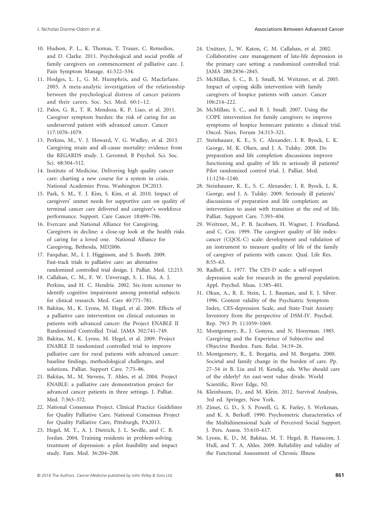- 10. Hudson, P. L., K. Thomas, T. Trauer, C. Remedios, and D. Clarke. 2011. Psychological and social profile of family caregivers on commencement of palliative care. J. Pain Symptom Manage. 41:522–534.
- 11. Hodges, L. J., G. M. Humphris, and G. Macfarlane. 2005. A meta-analytic investigation of the relationship between the psychological distress of cancer patients and their carers. Soc. Sci. Med. 60:1–12.
- 12. Palos, G. R., T. R. Mendoza, K. P. Liao, et al. 2011. Caregiver symptom burden: the risk of caring for an underserved patient with advanced cancer. Cancer 117:1070–1079.
- 13. Perkins, M., V. J. Howard, V. G. Wadley, et al. 2013. Caregiving strain and all-cause mortality: evidence from the REGARDS study. J. Gerontol. B Psychol. Sci. Soc. Sci. 68:504–512.
- 14. Institute of Medicine. Delivering high quality cancer care: charting a new course for a system in crisis. National Academies Press, Washington DC2013.
- 15. Park, S. M., Y. J. Kim, S. Kim, et al. 2010. Impact of caregivers' unmet needs for supportive care on quality of terminal cancer care delivered and caregiver's workforce performance. Support. Care Cancer 18:699–706.
- 16. Evercare and National Alliance for Caregiving. Caregivers in decline: a close-up look at the health risks of caring for a loved one. National Alliance for Caregiving, Bethesda, MD2006.
- 17. Farquhar, M., I. J. Higginson, and S. Booth. 2009. Fast-track trials in palliative care: an alternative randomized controlled trial design. J. Palliat. Med. 12:213.
- 18. Callahan, C. M., F. W. Unverzagt, S. L. Hui, A. J. Perkins, and H. C. Hendrie. 2002. Six-item screener to identify cognitive impairment among potential subjects for clinical research. Med. Care 40:771–781.
- 19. Bakitas, M., K. Lyons, M. Hegel, et al. 2009. Effects of a palliative care intervention on clinical outcomes in patients with advanced cancer: the Project ENABLE II Randomized Controlled Trial. JAMA 302:741–749.
- 20. Bakitas, M., K. Lyons, M. Hegel, et al. 2009. Project ENABLE II randomized controlled trial to improve palliative care for rural patients with advanced cancer: baseline findings, methodological challenges, and solutions. Palliat. Support Care. 7:75–86.
- 21. Bakitas, M., M. Stevens, T. Ahles, et al. 2004. Project ENABLE: a palliative care demonstration project for advanced cancer patients in three settings. J. Palliat. Med. 7:363–372.
- 22. National Consensus Project. Clinical Practice Guidelines for Quality Palliative Care. National Consensus Project for Quality Palliative Care, Pittsburgh, PA2013.
- 23. Hegel, M. T., A. J. Dietrich, J. L. Seville, and C. B. Jordan. 2004. Training residents in problem-solving treatment of depression: a pilot feasibility and impact study. Fam. Med. 36:204–208.
- 24. Unützer, J., W. Katon, C. M. Callahan, et al. 2002. Collaborative care management of late-life depression in the primary care setting: a randomized controlled trial. JAMA 288:2836–2845.
- 25. McMillan, S. C., B. J. Small, M. Weitzner, et al. 2005. Impact of coping skills intervention with family caregivers of hospice patients with cancer. Cancer 106:214–222.
- 26. McMillan, S. C., and B. J. Small. 2007. Using the COPE intervention for family caregivers to improve symptoms of hospice homecare patients: a clinical trial. Oncol. Nurs. Forum 34:313–321.
- 27. Steinhauser, K. E., S. C. Alexander, I. R. Byock, L. K. George, M. K. Olsen, and J. A. Tulsky. 2008. Do preparation and life completion discussions improve functioning and quality of life in seriously ill patients? Pilot randomized control trial. J. Palliat. Med. 11:1234–1240.
- 28. Steinhauser, K. E., S. C. Alexander, I. R. Byock, L. K. George, and J. A. Tulsky. 2009. Seriously ill patients' discussions of preparation and life completion: an intervention to assist with transition at the end of life. Palliat. Support Care. 7:393–404.
- 29. Weitzner, M., P. B. Jacobsen, H. Wagner, J. Friedland, and C. Cox. 1999. The caregiver quality of life indexcancer (CQOL-C) scale: development and validation of an instrument to measure quality of life of the family of caregiver of patients with cancer. Qual. Life Res. 8:55–63.
- 30. Radloff, L. 1977. The CES-D scale: a self-report depression scale for research in the general population. Appl. Psychol. Meas. 1:385–401.
- 31. Okun, A., R. E. Stein, L. J. Bauman, and E. J. Silver. 1996. Content validity of the Psychiatric Symptom Index, CES-depression Scale, and State-Trait Anxiety Inventory from the perspective of DSM-IV. Psychol. Rep. 79(3 Pt 1):1059–1069.
- 32. Montgomery, R., J. Gonyea, and N. Hooyman. 1985. Caregiving and the Experience of Subjective and Objective Burden. Fam. Relat. 34:19–26.
- 33. Montgomery, R., E. Borgatta, and M. Borgatta. 2000. Societal and family change in the burden of care. Pp. 27–54 *in* B. Liu and H. Kendig, eds. Who should care of the elderly? An east-west value divide. World Scientific, River Edge, NJ.
- 34. Kleinbaum, D., and M. Klein. 2012. Survival Analysis, 3rd ed. Springer, New York.
- 35. Zimet, G. D., S. S. Powell, G. K. Farley, S. Werkman, and K. A. Berkoff. 1990. Psychometric characteristics of the Multidimensional Scale of Perceived Social Support. J. Pers. Assess. 55:610–617.
- 36. Lyons, K. D., M. Bakitas, M. T. Hegel, B. Hanscom, J. Hull, and T. A. Ahles. 2009. Reliability and validity of the Functional Assessment of Chronic Illness